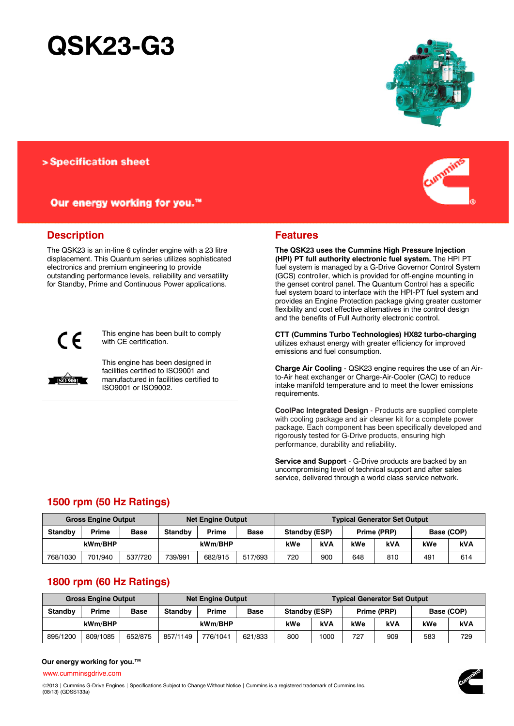# **QSK23-G3**

# > Specification sheet

# Our energy working for you.™

# **Description**

The QSK23 is an in-line 6 cylinder engine with a 23 litre displacement. This Quantum series utilizes sophisticated electronics and premium engineering to provide outstanding performance levels, reliability and versatility for Standby, Prime and Continuous Power applications.



This engine has been built to comply with CE certification.



This engine has been designed in facilities certified to ISO9001 and manufactured in facilities certified to ISO9001 or ISO9002.



## **Features**

**The QSK23 uses the Cummins High Pressure Injection (HPI) PT full authority electronic fuel system.** The HPI PT fuel system is managed by a G-Drive Governor Control System (GCS) controller, which is provided for off-engine mounting in the genset control panel. The Quantum Control has a specific fuel system board to interface with the HPI-PT fuel system and provides an Engine Protection package giving greater customer flexibility and cost effective alternatives in the control design and the benefits of Full Authority electronic control.

**CTT (Cummins Turbo Technologies) HX82 turbo-charging** utilizes exhaust energy with greater efficiency for improved emissions and fuel consumption.

**Charge Air Cooling** - QSK23 engine requires the use of an Airto-Air heat exchanger or Charge-Air-Cooler (CAC) to reduce intake manifold temperature and to meet the lower emissions requirements.

**CoolPac Integrated Design** - Products are supplied complete with cooling package and air cleaner kit for a complete power package. Each component has been specifically developed and rigorously tested for G-Drive products, ensuring high performance, durability and reliability.

**Service and Support** - G-Drive products are backed by an uncompromising level of technical support and after sales service, delivered through a world class service network.

# **1500 rpm (50 Hz Ratings)**

|                | <b>Gross Engine Output</b> |             | <b>Net Engine Output</b> |         |             | <b>Typical Generator Set Output</b> |            |     |             |            |            |
|----------------|----------------------------|-------------|--------------------------|---------|-------------|-------------------------------------|------------|-----|-------------|------------|------------|
| <b>Standby</b> | Prime                      | <b>Base</b> | <b>Standby</b>           | Prime   | <b>Base</b> | Standby (ESP)                       |            |     | Prime (PRP) | Base (COP) |            |
| kWm/BHP        |                            |             |                          | kWm/BHP |             | kWe                                 | <b>kVA</b> | kWe | <b>kVA</b>  | kWe        | <b>kVA</b> |
| 768/1030       | 701/940                    | 537/720     | 739/991                  | 682/915 | 517/693     | 720                                 | 900        | 648 | 810         | 491        | 614        |

# **1800 rpm (60 Hz Ratings)**

|                | <b>Gross Engine Output</b> |             |                | <b>Net Engine Output</b> | <b>Typical Generator Set Output</b> |               |      |             |     |            |            |
|----------------|----------------------------|-------------|----------------|--------------------------|-------------------------------------|---------------|------|-------------|-----|------------|------------|
| <b>Standby</b> | <b>Prime</b>               | <b>Base</b> | <b>Standby</b> | <b>Prime</b>             | <b>Base</b>                         | Standby (ESP) |      | Prime (PRP) |     | Base (COP) |            |
| kWm/BHP        |                            |             |                | kWm/BHP                  |                                     | kWe           | kVA  | kWe         | kVA | kWe        | <b>kVA</b> |
| 895/1200       | 809/1085                   | 652/875     | 857/1149       | 776/1041                 | 621/833                             | 800           | 1000 | 727         | 909 | 583        | 729        |

#### **Our energy working for you.™**

[www.cumminsgdrive.com](http://www.cumminsgdrive.com/)